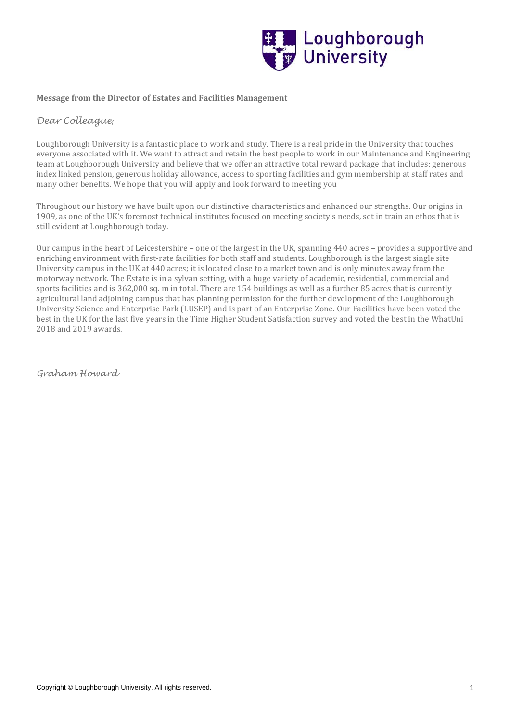

## **Message from the Director of Estates and Facilities Management**

# *Dear Colleague*,

Loughborough University is a fantastic place to work and study. There is a real pride in the University that touches everyone associated with it. We want to attract and retain the best people to work in our Maintenance and Engineering team at Loughborough University and believe that we offer an attractive total reward package that includes: generous index linked pension, generous holiday allowance, access to sporting facilities and gym membership at staff rates and many other benefits. We hope that you will apply and look forward to meeting you

Throughout our history we have built upon our distinctive characteristics and enhanced our strengths. Our origins in 1909, as one of the UK's foremost technical institutes focused on meeting society's needs, set in train an ethos that is still evident at Loughborough today.

Our campus in the heart of Leicestershire – one of the largest in the UK, spanning 440 acres – provides a supportive and enriching environment with first-rate facilities for both staff and students. Loughborough is the largest single site University campus in the UK at 440 acres; it is located close to a market town and is only minutes away from the motorway network. The Estate is in a sylvan setting, with a huge variety of academic, residential, commercial and sports facilities and is 362,000 sq. m in total. There are 154 buildings as well as a further 85 acres that is currently agricultural land adjoining campus that has planning permission for the further development of the Loughborough University Science and Enterprise Park (LUSEP) and is part of an Enterprise Zone. Our Facilities have been voted the best in the UK for the last five years in the Time Higher Student Satisfaction survey and voted the best in the WhatUni 2018 and 2019 awards.

*Graham Howard*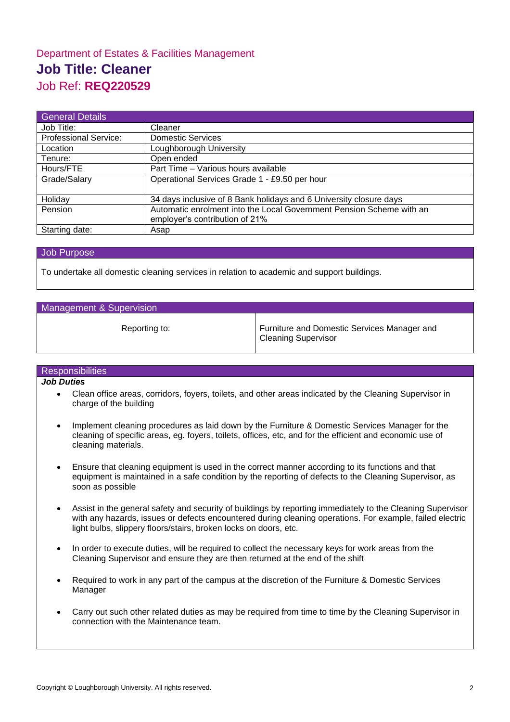# Department of Estates & Facilities Management **Job Title: Cleaner** Job Ref: **REQ220529**

| <b>General Details</b>       |                                                                      |
|------------------------------|----------------------------------------------------------------------|
| Job Title:                   | Cleaner                                                              |
| <b>Professional Service:</b> | <b>Domestic Services</b>                                             |
| Location                     | Loughborough University                                              |
| Tenure:                      | Open ended                                                           |
| Hours/FTE                    | Part Time - Various hours available                                  |
| Grade/Salary                 | Operational Services Grade 1 - £9.50 per hour                        |
| Holiday                      | 34 days inclusive of 8 Bank holidays and 6 University closure days   |
| Pension                      | Automatic enrolment into the Local Government Pension Scheme with an |
|                              | employer's contribution of 21%                                       |
| Starting date:               | Asap                                                                 |

#### Job Purpose

To undertake all domestic cleaning services in relation to academic and support buildings.

## Management & Supervision

Reporting to: Furniture and Domestic Services Manager and Cleaning Supervisor

**Responsibilities** 

## *Job Duties*

- Clean office areas, corridors, foyers, toilets, and other areas indicated by the Cleaning Supervisor in charge of the building
- Implement cleaning procedures as laid down by the Furniture & Domestic Services Manager for the cleaning of specific areas, eg. foyers, toilets, offices, etc, and for the efficient and economic use of cleaning materials.
- Ensure that cleaning equipment is used in the correct manner according to its functions and that equipment is maintained in a safe condition by the reporting of defects to the Cleaning Supervisor, as soon as possible
- Assist in the general safety and security of buildings by reporting immediately to the Cleaning Supervisor with any hazards, issues or defects encountered during cleaning operations. For example, failed electric light bulbs, slippery floors/stairs, broken locks on doors, etc.
- In order to execute duties, will be required to collect the necessary keys for work areas from the Cleaning Supervisor and ensure they are then returned at the end of the shift
- Required to work in any part of the campus at the discretion of the Furniture & Domestic Services Manager
- Carry out such other related duties as may be required from time to time by the Cleaning Supervisor in connection with the Maintenance team.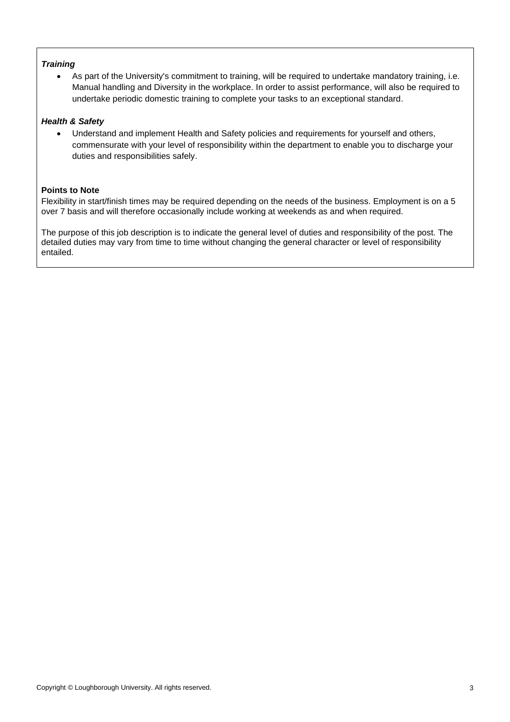# *Training*

• As part of the University's commitment to training, will be required to undertake mandatory training, i.e. Manual handling and Diversity in the workplace. In order to assist performance, will also be required to undertake periodic domestic training to complete your tasks to an exceptional standard.

# *Health & Safety*

• Understand and implement Health and Safety policies and requirements for yourself and others, commensurate with your level of responsibility within the department to enable you to discharge your duties and responsibilities safely.

## **Points to Note**

Flexibility in start/finish times may be required depending on the needs of the business. Employment is on a 5 over 7 basis and will therefore occasionally include working at weekends as and when required.

The purpose of this job description is to indicate the general level of duties and responsibility of the post. The detailed duties may vary from time to time without changing the general character or level of responsibility entailed.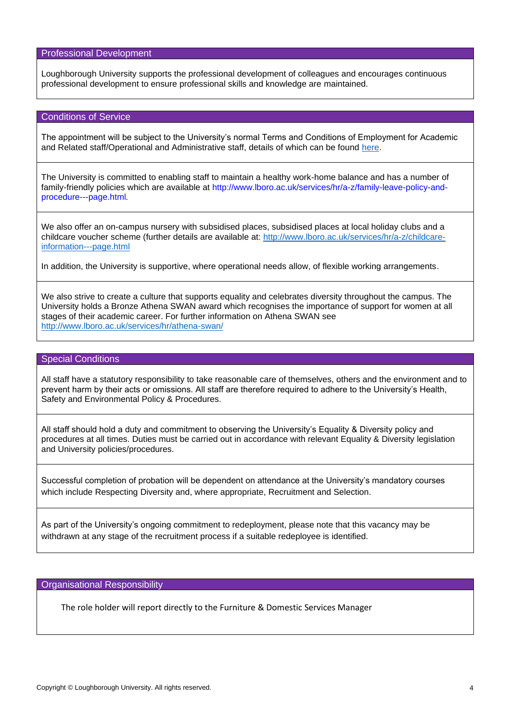## Professional Development

Loughborough University supports the professional development of colleagues and encourages continuous professional development to ensure professional skills and knowledge are maintained.

### Conditions of Service

The appointment will be subject to the University's normal Terms and Conditions of Employment for Academic and Related staff/Operational and Administrative staff, details of which can be found [here.](http://www.lboro.ac.uk/media/wwwlboroacuk/content/humanresources/downloads/acadrelatedcos_v1.pdf)

The University is committed to enabling staff to maintain a healthy work-home balance and has a number of family-friendly policies which are available at http://www.lboro.ac.uk/services/hr/a-z/family-leave-policy-andprocedure---page.html*.* 

We also offer an on-campus nursery with subsidised places, subsidised places at local holiday clubs and a childcare voucher scheme (further details are available at: [http://www.lboro.ac.uk/services/hr/a-z/childcare](http://www.lboro.ac.uk/services/hr/a-z/childcare-information---page.html)[information---page.html](http://www.lboro.ac.uk/services/hr/a-z/childcare-information---page.html)

In addition, the University is supportive, where operational needs allow, of flexible working arrangements.

We also strive to create a culture that supports equality and celebrates diversity throughout the campus. The University holds a Bronze Athena SWAN award which recognises the importance of support for women at all stages of their academic career. For further information on Athena SWAN see <http://www.lboro.ac.uk/services/hr/athena-swan/>

#### Special Conditions

All staff have a statutory responsibility to take reasonable care of themselves, others and the environment and to prevent harm by their acts or omissions. All staff are therefore required to adhere to the University's Health, Safety and Environmental Policy & Procedures.

All staff should hold a duty and commitment to observing the University's Equality & Diversity policy and procedures at all times. Duties must be carried out in accordance with relevant Equality & Diversity legislation and University policies/procedures.

Successful completion of probation will be dependent on attendance at the University's mandatory courses which include Respecting Diversity and, where appropriate, Recruitment and Selection.

As part of the University's ongoing commitment to redeployment, please note that this vacancy may be withdrawn at any stage of the recruitment process if a suitable redeployee is identified.

Organisational Responsibility

The role holder will report directly to the Furniture & Domestic Services Manager